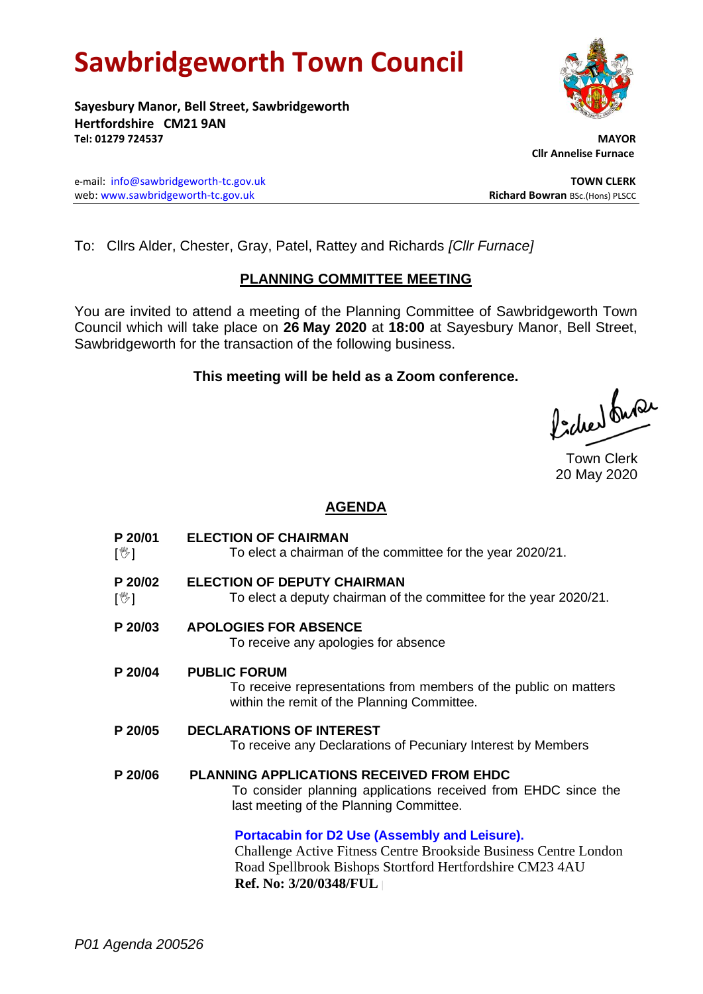# **Sawbridgeworth Town Council**

**Sayesbury Manor, Bell Street, Sawbridgeworth Hertfordshire CM21 9AN Tel: 01279 724537 MAYOR**

e-mail: [info@sawbridgeworth-tc.gov.uk](mailto:info@sawbridgeworth-tc.gov.uk) **TOWN CLERK** web: www.sawbridgeworth-tc.gov.uk<br> **Richard Bowran** BSc.(Hons) PLSCC

To: Cllrs Alder, Chester, Gray, Patel, Rattey and Richards *[Cllr Furnace]*

# **PLANNING COMMITTEE MEETING**

You are invited to attend a meeting of the Planning Committee of Sawbridgeworth Town Council which will take place on **26 May 2020** at **18:00** at Sayesbury Manor, Bell Street, Sawbridgeworth for the transaction of the following business.

# **This meeting will be held as a Zoom conference.**

ladres buse

# **AGENDA**

**P 20/01**  $\lceil \frac{m}{2} \rceil$ **ELECTION OF CHAIRMAN** To elect a chairman of the committee for the year 2020/21. **P 20/02**  $\mathbb{C}^{\mathbb{C}}$ **ELECTION OF DEPUTY CHAIRMAN** To elect a deputy chairman of the committee for the year 2020/21. **P 20/03 APOLOGIES FOR ABSENCE** To receive any apologies for absence **P 20/04 PUBLIC FORUM** To receive representations from members of the public on matters within the remit of the Planning Committee. **P 20/05 DECLARATIONS OF INTEREST** To receive any Declarations of Pecuniary Interest by Members **P 20/06 PLANNING APPLICATIONS RECEIVED FROM EHDC** To consider planning applications received from EHDC since the last meeting of the Planning Committee. **[Portacabin for D2 Use \(Assembly and Leisure\).](https://publicaccess.eastherts.gov.uk/online-applications/applicationDetails.do?activeTab=summary&keyVal=Q5XVMHGLFKP00&prevPage=inTray)** Challenge Active Fitness Centre Brookside Business Centre London Road Spellbrook Bishops Stortford Hertfordshire CM23 4AU

**Ref. No: 3/20/0348/FUL |**





 **Cllr Annelise Furnace**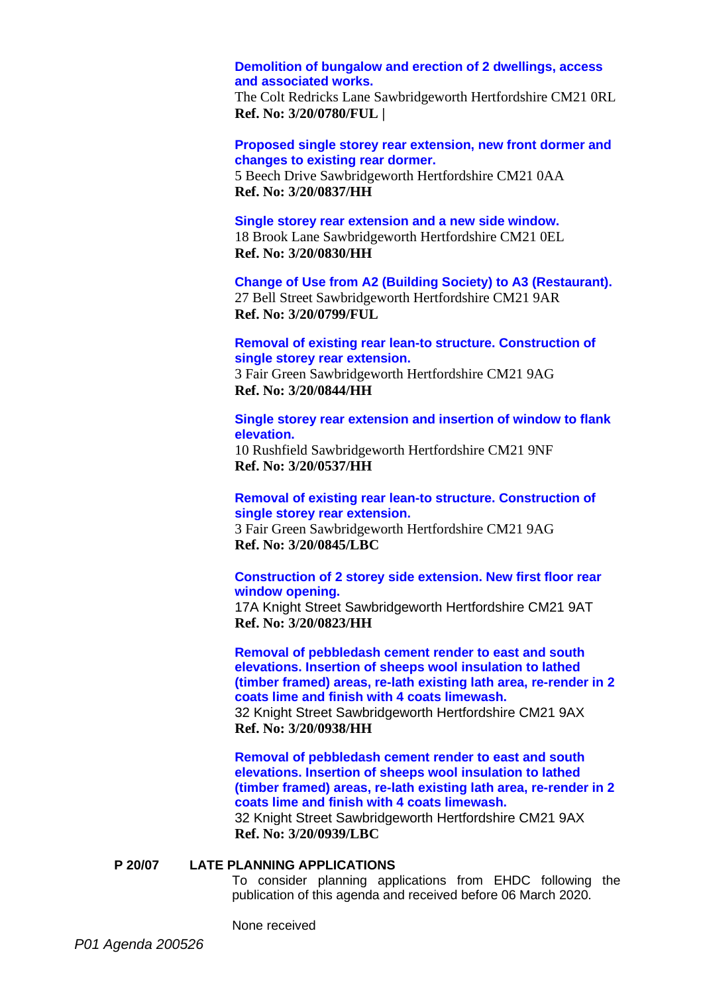# **[Demolition of bungalow and erection of 2 dwellings, access](https://publicaccess.eastherts.gov.uk/online-applications/applicationDetails.do?activeTab=summary&keyVal=Q98BJGGLGH500&prevPage=inTray)  and [associated works.](https://publicaccess.eastherts.gov.uk/online-applications/applicationDetails.do?activeTab=summary&keyVal=Q98BJGGLGH500&prevPage=inTray)**

The Colt Redricks Lane Sawbridgeworth Hertfordshire CM21 0RL **Ref. No: 3/20/0780/FUL |**

**[Proposed single storey rear extension, new front dormer and](https://publicaccess.eastherts.gov.uk/online-applications/applicationDetails.do?activeTab=summary&keyVal=Q9N4W0GLGLM00&prevPage=inTray)  [changes to existing rear dormer.](https://publicaccess.eastherts.gov.uk/online-applications/applicationDetails.do?activeTab=summary&keyVal=Q9N4W0GLGLM00&prevPage=inTray)**

5 Beech Drive Sawbridgeworth Hertfordshire CM21 0AA **Ref. No: 3/20/0837/HH**

#### **[Single storey rear extension and a new side window.](https://publicaccess.eastherts.gov.uk/online-applications/applicationDetails.do?activeTab=summary&keyVal=Q9LWG6GLGL400&prevPage=inTray)**

18 Brook Lane Sawbridgeworth Hertfordshire CM21 0EL **Ref. No: 3/20/0830/HH**

**[Change of Use from A2 \(Building Society\) to A3 \(Restaurant\).](https://publicaccess.eastherts.gov.uk/online-applications/applicationDetails.do?activeTab=summary&keyVal=Q9C0U4GLGIG00&prevPage=inTray)** 27 Bell Street Sawbridgeworth Hertfordshire CM21 9AR **Ref. No: 3/20/0799/FUL**

# **[Removal of existing rear lean-to structure. Construction of](https://publicaccess.eastherts.gov.uk/online-applications/applicationDetails.do?activeTab=summary&keyVal=Q9NR56GLGM600&prevPage=inTray)  [single storey rear extension.](https://publicaccess.eastherts.gov.uk/online-applications/applicationDetails.do?activeTab=summary&keyVal=Q9NR56GLGM600&prevPage=inTray)**

3 Fair Green Sawbridgeworth Hertfordshire CM21 9AG **Ref. No: 3/20/0844/HH**

#### **[Single storey rear extension and insertion of window to flank](https://publicaccess.eastherts.gov.uk/online-applications/applicationDetails.do?activeTab=summary&keyVal=Q70RNWGLFXF00&prevPage=inTray)  [elevation.](https://publicaccess.eastherts.gov.uk/online-applications/applicationDetails.do?activeTab=summary&keyVal=Q70RNWGLFXF00&prevPage=inTray)**

10 Rushfield Sawbridgeworth Hertfordshire CM21 9NF **Ref. No: 3/20/0537/HH**

#### **[Removal of existing rear lean-to structure. Construction of](https://publicaccess.eastherts.gov.uk/online-applications/applicationDetails.do?activeTab=summary&keyVal=Q9NR57GLGM700&prevPage=inTray)  [single storey rear extension.](https://publicaccess.eastherts.gov.uk/online-applications/applicationDetails.do?activeTab=summary&keyVal=Q9NR57GLGM700&prevPage=inTray)**

3 Fair Green Sawbridgeworth Hertfordshire CM21 9AG **Ref. No: 3/20/0845/LBC**

## **[Construction of 2 storey side extension. New first floor rear](https://publicaccess.eastherts.gov.uk/online-applications/applicationDetails.do?activeTab=summary&keyVal=Q9JQN7GLGKJ00&prevPage=inTray)  [window opening.](https://publicaccess.eastherts.gov.uk/online-applications/applicationDetails.do?activeTab=summary&keyVal=Q9JQN7GLGKJ00&prevPage=inTray)**

17A Knight Street Sawbridgeworth Hertfordshire CM21 9AT **Ref. No: 3/20/0823/HH**

**[Removal of pebbledash cement render to east and south](https://publicaccess.eastherts.gov.uk/online-applications/applicationDetails.do?activeTab=summary&keyVal=QAKRZ6GLGUF00&prevPage=inTray)  [elevations. Insertion of sheeps wool insulation to lathed](https://publicaccess.eastherts.gov.uk/online-applications/applicationDetails.do?activeTab=summary&keyVal=QAKRZ6GLGUF00&prevPage=inTray)  [\(timber framed\) areas, re-lath existing lath area, re-render in](https://publicaccess.eastherts.gov.uk/online-applications/applicationDetails.do?activeTab=summary&keyVal=QAKRZ6GLGUF00&prevPage=inTray) 2 [coats lime and finish with 4 coats limewash.](https://publicaccess.eastherts.gov.uk/online-applications/applicationDetails.do?activeTab=summary&keyVal=QAKRZ6GLGUF00&prevPage=inTray)** 32 Knight Street Sawbridgeworth Hertfordshire CM21 9AX **Ref. No: 3/20/0938/HH**

**[Removal of pebbledash cement render to east and south](https://publicaccess.eastherts.gov.uk/online-applications/applicationDetails.do?activeTab=summary&keyVal=QAKRZ7GLGUG00&prevPage=inTray)  [elevations. Insertion of sheeps wool insulation to lathed](https://publicaccess.eastherts.gov.uk/online-applications/applicationDetails.do?activeTab=summary&keyVal=QAKRZ7GLGUG00&prevPage=inTray)  [\(timber framed\) areas, re-lath existing lath area, re-render in 2](https://publicaccess.eastherts.gov.uk/online-applications/applicationDetails.do?activeTab=summary&keyVal=QAKRZ7GLGUG00&prevPage=inTray)  [coats lime and finish with 4 coats limewash.](https://publicaccess.eastherts.gov.uk/online-applications/applicationDetails.do?activeTab=summary&keyVal=QAKRZ7GLGUG00&prevPage=inTray)**

32 Knight Street Sawbridgeworth Hertfordshire CM21 9AX **Ref. No: 3/20/0939/LBC**

#### **P 20/07 LATE PLANNING APPLICATIONS**

To consider planning applications from EHDC following the publication of this agenda and received before 06 March 2020.

None received